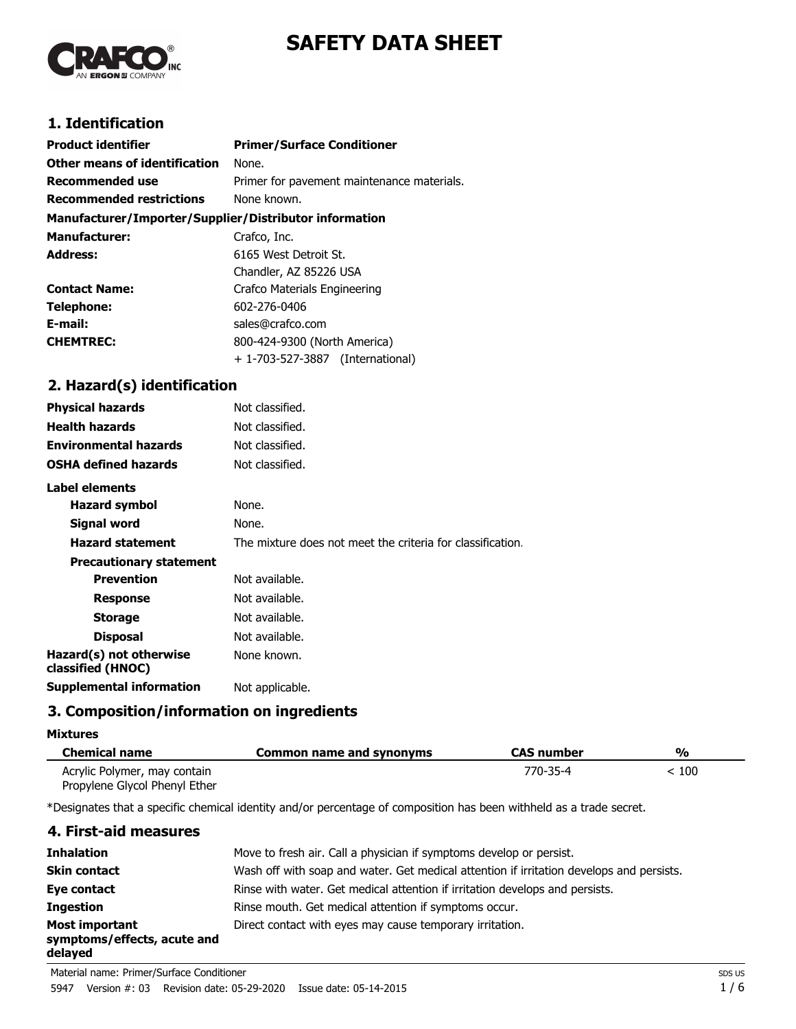



## **1. Identification**

| <b>Product identifier</b>                              | <b>Primer/Surface Conditioner</b>          |
|--------------------------------------------------------|--------------------------------------------|
| Other means of identification                          | None.                                      |
| <b>Recommended use</b>                                 | Primer for pavement maintenance materials. |
| <b>Recommended restrictions</b>                        | None known.                                |
| Manufacturer/Importer/Supplier/Distributor information |                                            |
| <b>Manufacturer:</b>                                   | Crafco, Inc.                               |
| <b>Address:</b>                                        | 6165 West Detroit St.                      |
|                                                        | Chandler, AZ 85226 USA                     |
| <b>Contact Name:</b>                                   | Crafco Materials Engineering               |
| Telephone:                                             | 602-276-0406                               |
| E-mail:                                                | sales@crafco.com                           |
| <b>CHEMTREC:</b>                                       | 800-424-9300 (North America)               |
|                                                        | + 1-703-527-3887 (International)           |

## **2. Hazard(s) identification**

| <b>Physical hazards</b>                      | Not classified.                                            |
|----------------------------------------------|------------------------------------------------------------|
| <b>Health hazards</b>                        | Not classified.                                            |
| <b>Environmental hazards</b>                 | Not classified.                                            |
| <b>OSHA defined hazards</b>                  | Not classified.                                            |
| Label elements                               |                                                            |
| <b>Hazard symbol</b>                         | None.                                                      |
| Signal word                                  | None.                                                      |
| <b>Hazard statement</b>                      | The mixture does not meet the criteria for classification. |
| <b>Precautionary statement</b>               |                                                            |
| <b>Prevention</b>                            | Not available.                                             |
| <b>Response</b>                              | Not available.                                             |
| <b>Storage</b>                               | Not available.                                             |
| <b>Disposal</b>                              | Not available.                                             |
| Hazard(s) not otherwise<br>classified (HNOC) | None known.                                                |
| <b>Supplemental information</b>              | Not applicable.                                            |

# **3. Composition/information on ingredients**

#### **Mixtures**

| <b>Chemical name</b>                                          | Common name and synonyms | <b>CAS</b> number | $\frac{0}{0}$ |
|---------------------------------------------------------------|--------------------------|-------------------|---------------|
| Acrylic Polymer, may contain<br>Propylene Glycol Phenyl Ether |                          | 770-35-4          | 100           |

\*Designates that a specific chemical identity and/or percentage of composition has been withheld as a trade secret.

| 4. First-aid measures                                           |                                                                                          |
|-----------------------------------------------------------------|------------------------------------------------------------------------------------------|
| <b>Inhalation</b>                                               | Move to fresh air. Call a physician if symptoms develop or persist.                      |
| <b>Skin contact</b>                                             | Wash off with soap and water. Get medical attention if irritation develops and persists. |
| Eye contact                                                     | Rinse with water. Get medical attention if irritation develops and persists.             |
| <b>Ingestion</b>                                                | Rinse mouth. Get medical attention if symptoms occur.                                    |
| <b>Most important</b><br>symptoms/effects, acute and<br>delayed | Direct contact with eyes may cause temporary irritation.                                 |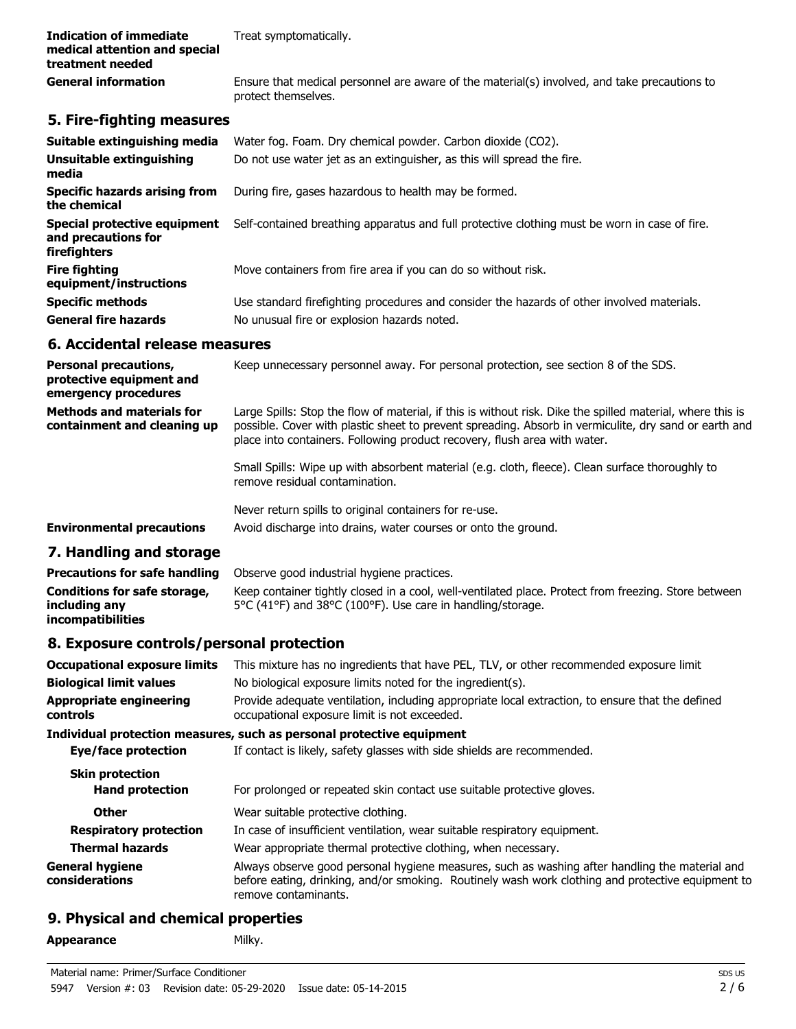| Indication of immediate       | Treat svn |
|-------------------------------|-----------|
| medical attention and special |           |
| treatment needed              |           |
| <b>General information</b>    | Ensure th |

**Inptomatically.** 

at medical personnel are aware of the material(s) involved, and take precautions to protect themselves.

### **5. Fire-fighting measures**

| Suitable extinguishing media                                        | Water fog. Foam. Dry chemical powder. Carbon dioxide (CO2).                                   |
|---------------------------------------------------------------------|-----------------------------------------------------------------------------------------------|
| Unsuitable extinguishing<br>media                                   | Do not use water jet as an extinguisher, as this will spread the fire.                        |
| Specific hazards arising from<br>the chemical                       | During fire, gases hazardous to health may be formed.                                         |
| Special protective equipment<br>and precautions for<br>firefighters | Self-contained breathing apparatus and full protective clothing must be worn in case of fire. |
| <b>Fire fighting</b><br>equipment/instructions                      | Move containers from fire area if you can do so without risk.                                 |
| <b>Specific methods</b>                                             | Use standard firefighting procedures and consider the hazards of other involved materials.    |
| <b>General fire hazards</b>                                         | No unusual fire or explosion hazards noted.                                                   |

### **6. Accidental release measures**

| <b>Personal precautions,</b><br>protective equipment and<br>emergency procedures | Keep unnecessary personnel away. For personal protection, see section 8 of the SDS.                                                                                                                                                                                                              |
|----------------------------------------------------------------------------------|--------------------------------------------------------------------------------------------------------------------------------------------------------------------------------------------------------------------------------------------------------------------------------------------------|
| <b>Methods and materials for</b><br>containment and cleaning up                  | Large Spills: Stop the flow of material, if this is without risk. Dike the spilled material, where this is<br>possible. Cover with plastic sheet to prevent spreading. Absorb in vermiculite, dry sand or earth and<br>place into containers. Following product recovery, flush area with water. |
|                                                                                  | Small Spills: Wipe up with absorbent material (e.g. cloth, fleece). Clean surface thoroughly to<br>remove residual contamination.                                                                                                                                                                |
|                                                                                  | Never return spills to original containers for re-use.                                                                                                                                                                                                                                           |

**Environmental precautions** Avoid discharge into drains, water courses or onto the ground.

### **7. Handling and storage**

| <b>Precautions for safe handling</b> | Observe good industrial hygiene practices.                                                           |
|--------------------------------------|------------------------------------------------------------------------------------------------------|
| Conditions for safe storage,         | Keep container tightly closed in a cool, well-ventilated place. Protect from freezing. Store between |
| including any<br>incompatibilities   | 5°C (41°F) and 38°C (100°F). Use care in handling/storage.                                           |

## **8. Exposure controls/personal protection**

| <b>Occupational exposure limits</b>        | This mixture has no ingredients that have PEL, TLV, or other recommended exposure limit                                                                                                                                     |  |
|--------------------------------------------|-----------------------------------------------------------------------------------------------------------------------------------------------------------------------------------------------------------------------------|--|
| <b>Biological limit values</b>             | No biological exposure limits noted for the ingredient(s).                                                                                                                                                                  |  |
| <b>Appropriate engineering</b><br>controls | Provide adequate ventilation, including appropriate local extraction, to ensure that the defined<br>occupational exposure limit is not exceeded.                                                                            |  |
|                                            | Individual protection measures, such as personal protective equipment                                                                                                                                                       |  |
| Eye/face protection                        | If contact is likely, safety glasses with side shields are recommended.                                                                                                                                                     |  |
| <b>Skin protection</b>                     |                                                                                                                                                                                                                             |  |
| <b>Hand protection</b>                     | For prolonged or repeated skin contact use suitable protective gloves.                                                                                                                                                      |  |
| <b>Other</b>                               | Wear suitable protective clothing.                                                                                                                                                                                          |  |
| <b>Respiratory protection</b>              | In case of insufficient ventilation, wear suitable respiratory equipment.                                                                                                                                                   |  |
| <b>Thermal hazards</b>                     | Wear appropriate thermal protective clothing, when necessary.                                                                                                                                                               |  |
| <b>General hygiene</b><br>considerations   | Always observe good personal hygiene measures, such as washing after handling the material and<br>before eating, drinking, and/or smoking. Routinely wash work clothing and protective equipment to<br>remove contaminants. |  |

## **9. Physical and chemical properties**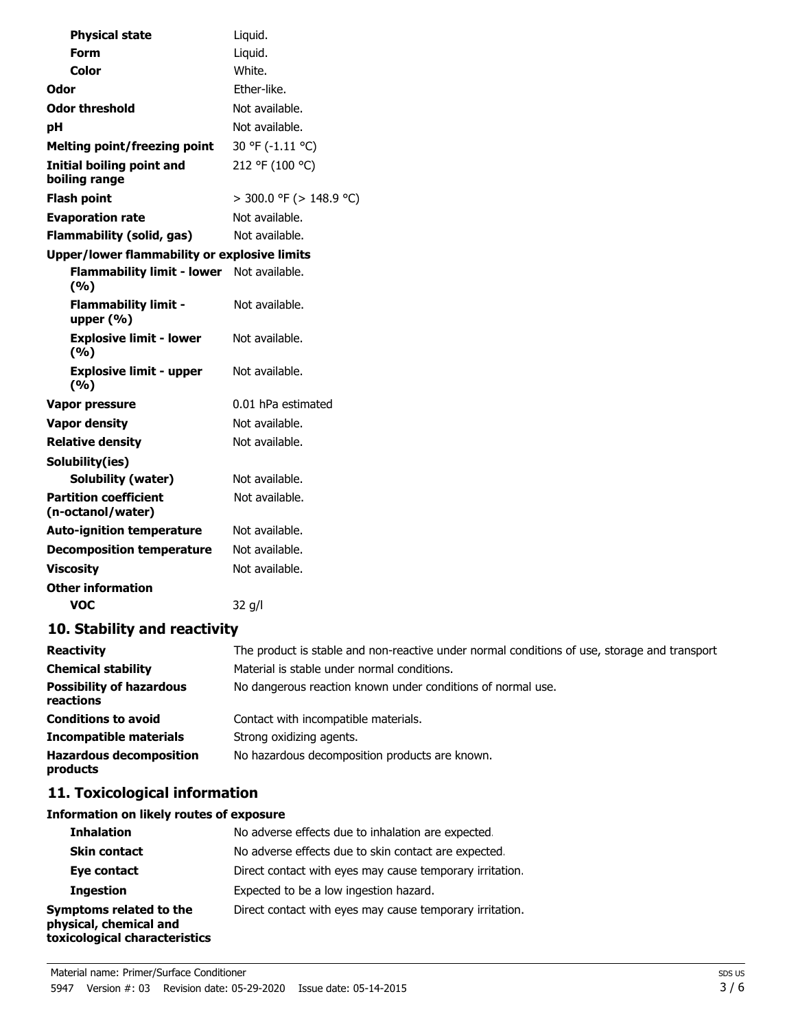| <b>Physical state</b>                               | Liquid.                 |
|-----------------------------------------------------|-------------------------|
| Form                                                | Liquid.                 |
| Color                                               | White.                  |
| Odor                                                | Ether-like.             |
| <b>Odor threshold</b>                               | Not available.          |
| pH                                                  | Not available.          |
| <b>Melting point/freezing point</b>                 | 30 °F (-1.11 °C)        |
| <b>Initial boiling point and</b><br>boiling range   | 212 °F (100 °C)         |
| <b>Flash point</b>                                  | > 300.0 °F (> 148.9 °C) |
| <b>Evaporation rate</b>                             | Not available.          |
| <b>Flammability (solid, gas)</b>                    | Not available.          |
| <b>Upper/lower flammability or explosive limits</b> |                         |
| <b>Flammability limit - lower</b><br>(%)            | Not available.          |
| <b>Flammability limit -</b><br>upper $(% )$         | Not available.          |
| <b>Explosive limit - lower</b><br>(%)               | Not available.          |
| <b>Explosive limit - upper</b><br>(%)               | Not available.          |
| <b>Vapor pressure</b>                               | 0.01 hPa estimated      |
| <b>Vapor density</b>                                | Not available.          |
| <b>Relative density</b>                             | Not available.          |
| Solubility(ies)                                     |                         |
| <b>Solubility (water)</b>                           | Not available.          |
| <b>Partition coefficient</b><br>(n-octanol/water)   | Not available.          |
| <b>Auto-ignition temperature</b>                    | Not available.          |
| <b>Decomposition temperature</b>                    | Not available.          |
| <b>Viscosity</b>                                    | Not available.          |
| <b>Other information</b>                            |                         |
| VOC                                                 | 32 g/l                  |

## **10. Stability and reactivity**

| <b>Reactivity</b>                            | The product is stable and non-reactive under normal conditions of use, storage and transport |
|----------------------------------------------|----------------------------------------------------------------------------------------------|
| <b>Chemical stability</b>                    | Material is stable under normal conditions.                                                  |
| <b>Possibility of hazardous</b><br>reactions | No dangerous reaction known under conditions of normal use.                                  |
| <b>Conditions to avoid</b>                   | Contact with incompatible materials.                                                         |
| <b>Incompatible materials</b>                | Strong oxidizing agents.                                                                     |
| <b>Hazardous decomposition</b><br>products   | No hazardous decomposition products are known.                                               |

# **11. Toxicological information**

### **Information on likely routes of exposure**

| <b>Inhalation</b>                                                                  | No adverse effects due to inhalation are expected.       |
|------------------------------------------------------------------------------------|----------------------------------------------------------|
| <b>Skin contact</b>                                                                | No adverse effects due to skin contact are expected.     |
| Eye contact                                                                        | Direct contact with eyes may cause temporary irritation. |
| <b>Ingestion</b>                                                                   | Expected to be a low ingestion hazard.                   |
| Symptoms related to the<br>physical, chemical and<br>toxicological characteristics | Direct contact with eyes may cause temporary irritation. |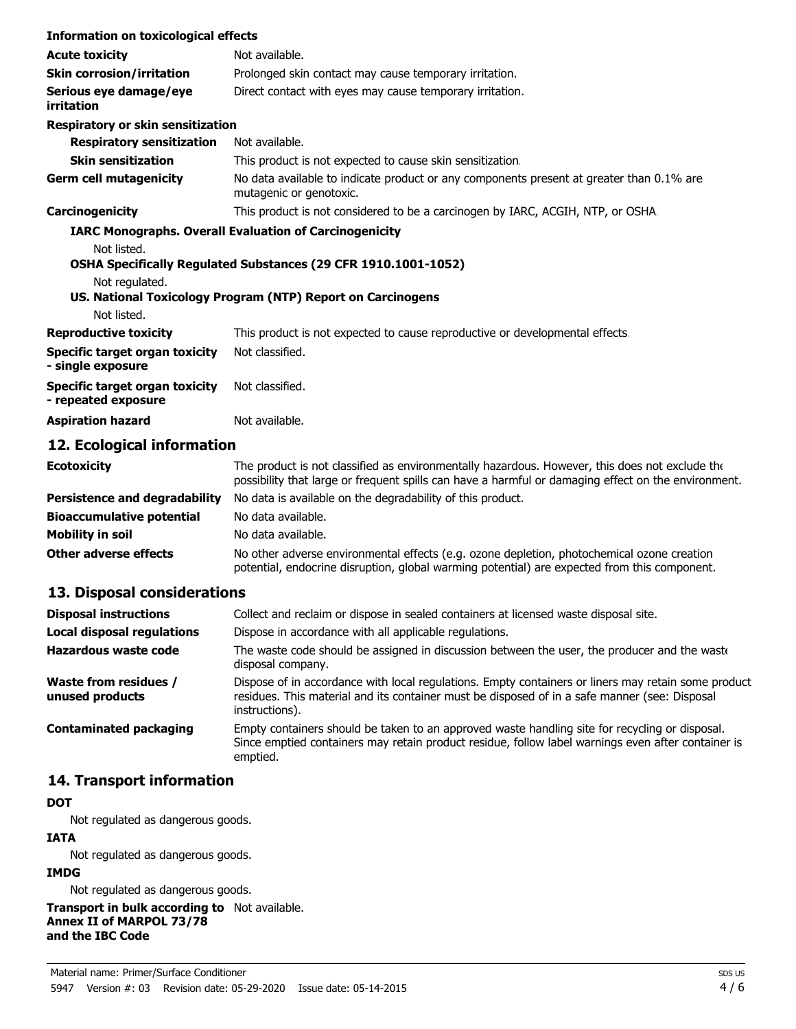| <b>Information on toxicological effects</b>                  |                                                                                                                                                                                                       |
|--------------------------------------------------------------|-------------------------------------------------------------------------------------------------------------------------------------------------------------------------------------------------------|
| <b>Acute toxicity</b>                                        | Not available.                                                                                                                                                                                        |
| <b>Skin corrosion/irritation</b>                             | Prolonged skin contact may cause temporary irritation.                                                                                                                                                |
| Serious eye damage/eye<br>irritation                         | Direct contact with eyes may cause temporary irritation.                                                                                                                                              |
| <b>Respiratory or skin sensitization</b>                     |                                                                                                                                                                                                       |
| <b>Respiratory sensitization</b>                             | Not available.                                                                                                                                                                                        |
| <b>Skin sensitization</b>                                    | This product is not expected to cause skin sensitization.                                                                                                                                             |
| <b>Germ cell mutagenicity</b>                                | No data available to indicate product or any components present at greater than 0.1% are<br>mutagenic or genotoxic.                                                                                   |
| Carcinogenicity                                              | This product is not considered to be a carcinogen by IARC, ACGIH, NTP, or OSHA.                                                                                                                       |
| Not listed.<br>Not regulated.<br>Not listed.                 | <b>OSHA Specifically Regulated Substances (29 CFR 1910.1001-1052)</b><br>US. National Toxicology Program (NTP) Report on Carcinogens                                                                  |
| <b>Reproductive toxicity</b>                                 | This product is not expected to cause reproductive or developmental effects                                                                                                                           |
| Specific target organ toxicity<br>- single exposure          | Not classified.                                                                                                                                                                                       |
| <b>Specific target organ toxicity</b><br>- repeated exposure | Not classified.                                                                                                                                                                                       |
| <b>Aspiration hazard</b>                                     | Not available.                                                                                                                                                                                        |
| 12. Ecological information                                   |                                                                                                                                                                                                       |
| <b>Ecotoxicity</b>                                           | The product is not classified as environmentally hazardous. However, this does not exclude the<br>possibility that large or frequent spills can have a harmful or damaging effect on the environment. |
|                                                              | <b>Persistence and degradability</b> No data is available on the degradability of this product                                                                                                        |

| Persistence and degradability    | No data is available on the degradability of this product.                                                                                                                                 |  |
|----------------------------------|--------------------------------------------------------------------------------------------------------------------------------------------------------------------------------------------|--|
| <b>Bioaccumulative potential</b> | No data available.                                                                                                                                                                         |  |
| Mobility in soil                 | No data available.                                                                                                                                                                         |  |
| Other adverse effects            | No other adverse environmental effects (e.g. ozone depletion, photochemical ozone creation<br>potential, endocrine disruption, global warming potential) are expected from this component. |  |

## **13. Disposal considerations**

| <b>Disposal instructions</b>                    | Collect and reclaim or dispose in sealed containers at licensed waste disposal site.                                                                                                                                   |
|-------------------------------------------------|------------------------------------------------------------------------------------------------------------------------------------------------------------------------------------------------------------------------|
| <b>Local disposal regulations</b>               | Dispose in accordance with all applicable regulations.                                                                                                                                                                 |
| Hazardous waste code                            | The waste code should be assigned in discussion between the user, the producer and the waste<br>disposal company.                                                                                                      |
| <b>Waste from residues /</b><br>unused products | Dispose of in accordance with local regulations. Empty containers or liners may retain some product<br>residues. This material and its container must be disposed of in a safe manner (see: Disposal<br>instructions). |
| <b>Contaminated packaging</b>                   | Empty containers should be taken to an approved waste handling site for recycling or disposal.<br>Since emptied containers may retain product residue, follow label warnings even after container is<br>emptied.       |

## **14. Transport information**

### **DOT**

Not regulated as dangerous goods.

### **IATA**

Not regulated as dangerous goods.

### **IMDG**

Not regulated as dangerous goods.

### **Transport in bulk according to** Not available. **Annex II of MARPOL 73/78 and the IBC Code**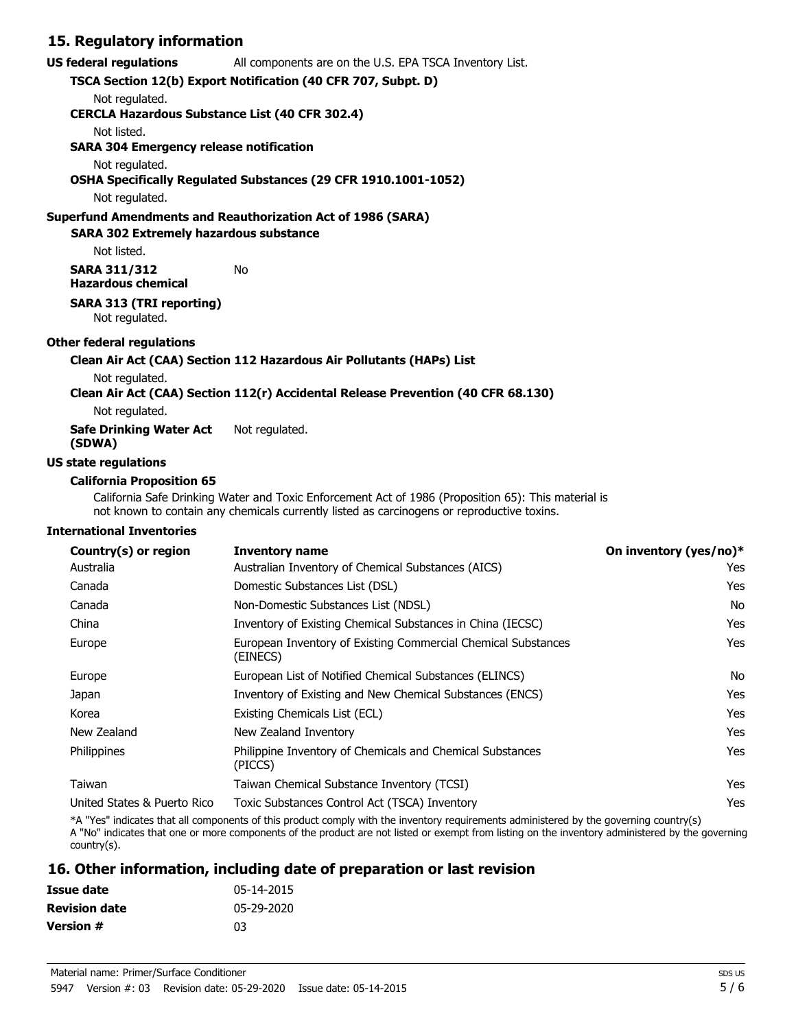### **15. Regulatory information**

#### **US federal regulations** All components are on the U.S. EPA TSCA Inventory List.

**TSCA Section 12(b) Export Notification (40 CFR 707, Subpt. D)**

Not regulated.

#### **CERCLA Hazardous Substance List (40 CFR 302.4)**

Not listed.

#### **SARA 304 Emergency release notification**

Not regulated.

### **OSHA Specifically Regulated Substances (29 CFR 1910.1001-1052)**

Not regulated.

### **Superfund Amendments and Reauthorization Act of 1986 (SARA)**

#### **SARA 302 Extremely hazardous substance**

Not listed.

**SARA 311/312** No

# **Hazardous chemical**

### **SARA 313 (TRI reporting)**

Not regulated.

### **Other federal regulations**

### **Clean Air Act (CAA) Section 112 Hazardous Air Pollutants (HAPs) List**

Not regulated.

### **Clean Air Act (CAA) Section 112(r) Accidental Release Prevention (40 CFR 68.130)**

Not regulated.

**Safe Drinking Water Act** Not regulated. **(SDWA)**

### **US state regulations**

### **California Proposition 65**

California Safe Drinking Water and Toxic Enforcement Act of 1986 (Proposition 65): This material is not known to contain any chemicals currently listed as carcinogens or reproductive toxins.

### **International Inventories**

| Country(s) or region        | <b>Inventory name</b>                                                     | On inventory (yes/no)* |
|-----------------------------|---------------------------------------------------------------------------|------------------------|
| Australia                   | Australian Inventory of Chemical Substances (AICS)                        | Yes                    |
| Canada                      | Domestic Substances List (DSL)                                            | Yes                    |
| Canada                      | Non-Domestic Substances List (NDSL)                                       | No                     |
| China                       | Inventory of Existing Chemical Substances in China (IECSC)                | Yes                    |
| Europe                      | European Inventory of Existing Commercial Chemical Substances<br>(EINECS) | Yes                    |
| Europe                      | European List of Notified Chemical Substances (ELINCS)                    | No                     |
| Japan                       | Inventory of Existing and New Chemical Substances (ENCS)                  | Yes                    |
| Korea                       | Existing Chemicals List (ECL)                                             | Yes                    |
| New Zealand                 | New Zealand Inventory                                                     | Yes                    |
| Philippines                 | Philippine Inventory of Chemicals and Chemical Substances<br>(PICCS)      | Yes                    |
| Taiwan                      | Taiwan Chemical Substance Inventory (TCSI)                                | Yes                    |
| United States & Puerto Rico | Toxic Substances Control Act (TSCA) Inventory                             | Yes                    |
|                             |                                                                           |                        |

\*A "Yes" indicates that all components of this product comply with the inventory requirements administered by the governing country(s) A "No" indicates that one or more components of the product are not listed or exempt from listing on the inventory administered by the governing country(s).

### **16. Other information, including date of preparation or last revision**

| Issue date           | 05-14-2015 |
|----------------------|------------|
| <b>Revision date</b> | 05-29-2020 |
| Version #            | n٦         |